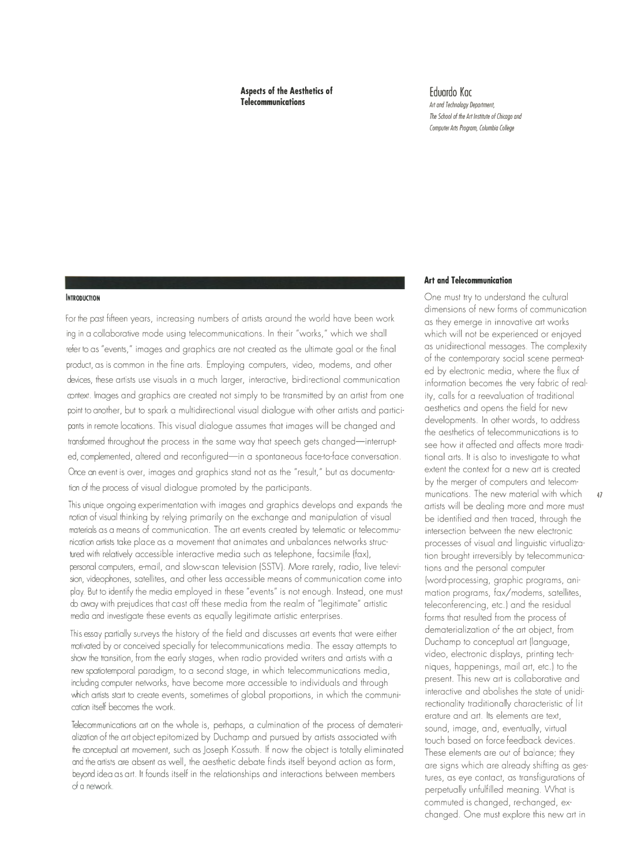**Aspects of the Aesthetics of Telecommunications** 

**Eduardo Koc**  *Art and Technology Department, The School of the Art Institute of Chicago and Computer Arts Program, Columbia College* 

### **INTRODUCTION**

For the past fifteen years, increasing numbers of artists around the world have been work ing in a collaborative mode using telecommunications. In their "works," which we shall refer to as "events," images and graphics are not created as the ultimate goal or the final product, as is common in the fine arts. Employing computers, video, modems, and other devices, these artists use visuals in a much larger, interactive, bi-directional communication context. Images and graphics are created not simply to be transmitted by an artist from one point to another, but to spark a multidirectional visual dialogue with other artists and participants in remote locations. This visual dialogue assumes that images will be changed and transformed throughout the process in the same way that speech gets changed-interrupted, complemented, altered and reconfigured-in a spontaneous face-to-face conversation. Once an event is over, images and graphics stand not as the "result," but as documentation of the process of visual dialogue promoted by the participants.

This unique ongoing experimentation with images and graphics develops and expands the notion of visual thinking by relying primarily on the exchange and manipulation of visual materials as a means of communication. The art events created by telematic or telecommunication artists take place as a movement that animates and unbalances networks structured with relatively accessible interactive media such as telephone, facsimile (fax), personal computers, e-mail, and slow-scan television (SSTV). More rarely, radio, live television, videophones, satellites, and other less accessible means of communication come into play. But to identify the media employed in these "events" is not enough. Instead, one must do away with prejudices that cast off these media from the realm of "legitimate" artistic media and investigate these events as equally legitimate artistic enterprises.

This essay partially surveys the history of the field and discusses art events that were either motivated by or conceived specially for telecommunications media. The essay attempts to show the transition, from the early stages, when radio provided writers and artists with a new spatiotemporal paradigm, to a second stage, in which telecommunications media, including computer networks, have become more accessible to individuals and through which artists start to create events, sometimes of global proportions, in which the communication itself becomes the work.

Telecommunications art on the whole is, perhaps, a culmination of the process of dematerialization of the art object epitomized by Duchamp and pursued by artists associated with the conceptual art movement, such as Joseph Kossuth. If now the object is totally eliminated and the artists are absent as well, the aesthetic debate finds itself beyond action as form, beyond idea as art. It founds itself in the relationships and interactions between members of a network.

## **Art and Telecommunication**

One must try to understand the cultural dimensions of new forms of communication as they emerge in innovative art works which will not be experienced or enjoyed as unidirectional messages. The complexity of the contemporary social scene permeated by electronic media, where the flux of information becomes the very fabric of reality, calls for a reevaluation of traditional aesthetics and opens the field for new developments. In other words, to address the aesthetics of telecommunications is to see how it affected and affects more traditional arts. It is also to investigate to what extent the context for a new art is created by the merger of computers and telecommunications. The new material with which 47 artists will be dealing more and more must be identified and then traced, through the intersection between the new electronic processes of visual and linguistic virtualization brought irreversibly by telecommunications and the personal computer (word-processing, graphic programs, animation programs, fax/modems, satellites, teleconferencing, etc.) and the residual forms that resulted from the process of dematerialization of the art object, from Duchamp to conceptual art (language, video, electronic displays, printing techniques, happenings, mail art, etc.) to the present. This new art is collaborative and interactive and abolishes the state of unidirectionality traditionally characteristic of literature and art. Its elements are text, sound, image, and, eventually, virtual touch based on force feedback devices. These elements are out of balance; they are signs which are already shifting as gestures, as eye contact, as transfigurations of perpetually unfulfilled meaning. What is commuted is changed, re-changed, exchanged. One must explore this new art in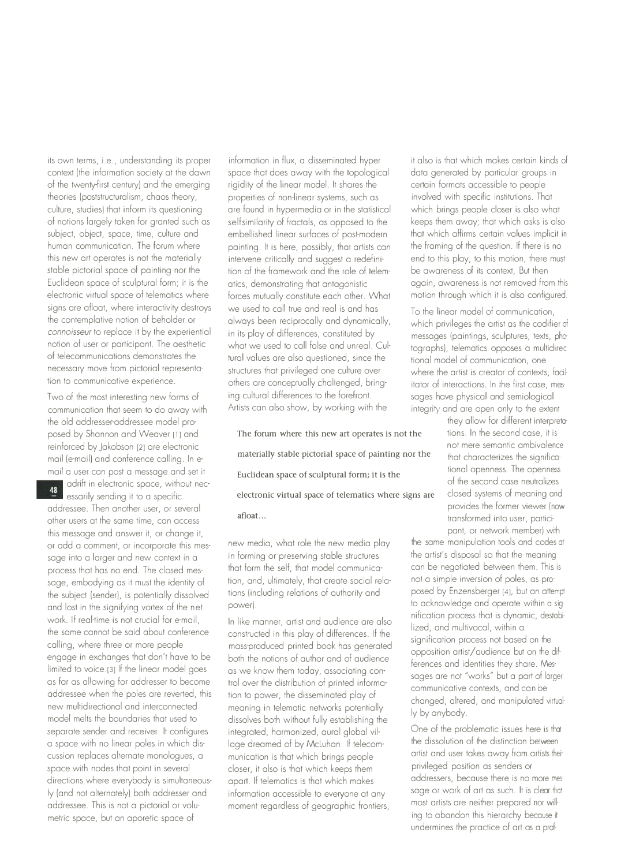its own terms, i.e., understanding its proper context (the information society at the dawn of the twenty-first century) and the emerging theories (poststructuralism, chaos theory, culture, studies) that inform its questioning of notions largely taken for granted such as subject, object, space, time, culture and human communication. The forum where this new art operates is not the materially stable pictorial space of painting nor the Euclidean space of sculptural form; it is the electronic virtual space of telematics where signs are afloat, where interactivity destroys the contemplative notion of beholder or *connoisseur* to replace it by the experiential notion of user or participant. The aesthetic of telecommunications demonstrates the necessary move from pictorial representation to communicative experience.

Two of the most interesting new forms of communication that seem to do away with the old addresser-addressee model proposed by Shannon and Weaver [1] and reinforced by Jakobson [2] are electronic mail (e-mail) and conference calling. In email a user can post a message and set it

adrift in electronic space, without necessarily sending it to a specific addressee. Then another user, or several other users at the same time, can access this message and answer it, or change it, or add a comment, or incorporate this message into a larger and new context in a process that has no end. The closed message, embodying as it must the identity of the subject (sender), is potentially dissolved and lost in the signifying vortex of the network. If real-time is not crucial for e-mail, the same cannot be said about conference calling, where three or more people engage in exchanges that don't have to be limited to voice.[3] If the linear model goes as far as allowing for addresser to become addressee when the poles are reverted, this new multidirectional and interconnected model melts the boundaries that used to separate sender and receiver. It configures a space with no linear poles in which discussion replaces alternate monologues, a space with nodes that point in several directions where everybody is simultaneously (and not alternately) both addresser and addressee. This is not a pictorial or volumetric space, but an aporetic space of

information in flux, a disseminated hyper space that does away with the topological rigidity of the linear model. It shares the properties of non-linear systems, such as are found in hypermedia or in the statistical selfsimilarity of fractals, as opposed to the embellished linear surfaces of post-modern painting. It is here, possibly, that artists can intervene critically and suggest a redefinition of the framework and the role of telematics, demonstrating that antagonistic forces mutually constitute each other. What we used to call true and real is and has always been reciprocally and dynamically, in its play of differences, constituted by what we used to call false and unreal. Cultural values are also questioned, since the structures that privileged one culture over others are conceptually challenged, bringing cultural differences to the forefront. Artists can also show, by working with the

The forum where this new art operates is not the materially stable pictorial space of painting nor the that characterizes the significa-Euclidean space of sculptural form; it is the tional openness. The openness electronic virtual space of telematics where signs are closed systems of meaning and

new media, what role the new media play in forming or preserving stable structures that form the self, that model communication, and, ultimately, that create social relations (including relations of authority and power).

In like manner, artist and audience are also constructed in this play of differences. If the mass-produced printed book has generated both the notions of author and of audience as we know them today, associating control over the distribution of printed information to power, the disseminated play of meaning in telematic networks potentially dissolves both without fully establishing the integrated, harmonized, aural global village dreamed of by McLuhan. If telecommunication is that which brings people closer, it also is that which keeps them apart. If telematics is that which makes information accessible to everyone at any moment regardless of geographic frontiers,

it also is that which makes certain kinds of data generated by particular groups in certain formats accessible to people involved with specific institutions. That which brings people closer is also what keeps them away; that which asks is also that which affirms certain values implicit in the framing of the question. If there is no end to this play, to this motion, there must be awareness of its context, But then again, awareness is not removed from this motion through which it is also configured.

To the linear model of communication, which privileges the artist as the codifier of messages (paintings, sculptures, texts, photographs), telematics opposes a multidirectional model of communication, one where the artist is creator of contexts, facilitator of interactions. In the first case, messages have physical and semiological integrity and are open only to the extent

they allow for different interpretations. In the second case, it is not mere semantic ambivalence of the second case neutralizes provides the former viewer (now transformed into user, partici· **afloat ...**  pant, or network member) with

> the same manipulation tools and codes at the artist's disposal so that the meaning can be negotiated between them. This is not a simple inversion of poles, as proposed by Enzensberger [4], but an attempt to acknowledge and operate within a sig· nification process that is dynamic, destabilized, and multivocal, within a signification process not based on the opposition artist/ audience but on the differences and identities they share. Mes· sages are not "works" but a part of larger communicative contexts, and can be changed, altered, and manipulated virtually by anybody.

One of the problematic issues here is that the dissolution of the distinction between artist and user takes away from artists their privileged position as senders or addressers, because there is no more mes· sage or work of art as such. It is clear that most artists are neither prepared nor will· ing to abandon this hierarchy because it undermines the practice of art as a prof·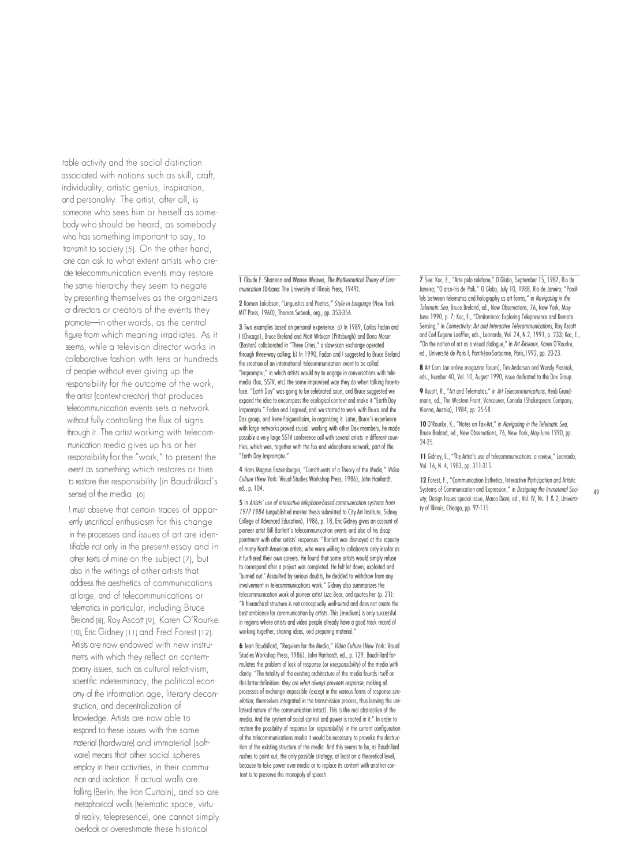itable activity and the social distinction associated with notions such as skill, craft, individuality, artistic genius, inspiration, and personality. The artist, after all, is someone who sees him or herself as somebody who should be heard, as somebody who has something important to say, to transmit to society [5]. On the other hand, one can ask to what extent artists who create telecommunication events may restore the same hierarchy they seem to negate by presenting themselves as the organizers or directors or creators of the events they promote-in other words, as the central figure from which meaning irradiates. As it seems, while a television director works in collaborative fashion with tens or hundreds of people without ever giving up the responsibility for the outcome of the work, the artist (context-creator) that produces telecommunication events sets a network without fully controlling the flux of signs through it. The artist working with telecommunication media gives up his or her responsibility for the "work," to present the event as something which restores or tries to restore the responsibility (in Baudrillard's sense) of the media. [6]

I must observe that certain traces of apparently uncritical enthusiasm for this change in the processes and issues of art are identifiable not only in the present essay and in other texts of mine on the subject [7], but also in the writings of other artists that address the aesthetics of communications at large, and of telecommunications or telematics in particular, including Bruce Breland [8], Roy Ascott [9], Karen O'Rourke [10], Eric Gidney [11] and Fred Forest [12]. Artists are now endowed with new instruments with which they reflect on contemporary issues, such as cultural relativism, scientific indeterminacy, the political economy of the information age, literary deconstruction, and decentralization of knowledge. Artists are now able to respond to these issues with the same material (hardware) and immaterial (software) means that other social spheres employ in their activities, in their communion and isolation. If actual walls are falling (Berlin, the Iron Curtain), and so are metaphorical walls (telematic space, virtuoi reality, telepresence), one cannot simply overlook or overestimate these historical

1 Claude E. Shannon ond Warren Weaver, *The Mathematical Theory al Cammunication* (Urbana: The University of Illinois Press, 1949).

**2** Romon Jakobson, "Linguistics and Poetics,• *Style in Language* (New York: MIT Press, 1960), Thomas Sebeak, org., pp. 353-356.

**3** Two examples based on personal experience: a) In 1989, Carias fadon and I (Chicago), Bruce Breland and Malt Wrbican (Pittsburgh) and Oona Moser (Boston) collaborated in "Three Cities," a slaw-scan exchange operated through three-way calling; b) In 1990, fadan and I suggested ta Bruce Breland the creation of an international telecommunication event to be called "Impromptu,' in which artists would try to engage in conversations with telemedio (fox, SSTV, etc) the some improvised way they do when talking foce-tofoce. "Earth Doy" was going to be celebrated soon, ond Bruce suggested we expand the idea to encompass the ecological context and make it "Earth Day Impromptu. ' fodon ond I agreed, and we started to work with Bruce ond the Dax group, ond Irene faiguenboim, in organizing it. Later, Bruce's experience with large networks proved crucial: working with other Dax members, he made possible a very large SSTV conference coll with several artists in different countries, which wos, together with the fox ond videophone network, part of the "Earth Day Impromptu. "

4 Hans Magnus Enzensberger, "Constituents of a Theory of the Media," *Video Culture* (New York: Visual Studies Workshop Press, 1986), John Hanhardt, ed., p. 104.

5 In *Artists'* use *al interactive telephone-based communication systems from 1971-1984* (unpublished moster thesis submilted to City Art Institute, Sidney College of Advanced Education), 1986, p. 18, Eric Gidney gives an account of pioneer artist Bill Bartlett's telecommunication events ond olso of his disappointment with other artists' responses: "Bartlelt was dismayed at the rapacity of many North American artists, who were willing to collaborate only insofar as it furthered their own careers. He found that some artists would simply refuse to correspond after a project was completed. He felt let down, exploited ond 'burned out.' Assaulted by serious doubts, he decided to withdraw from any involvement in telecommunications work." Gidney also summarizes the telecommunication work of pioneer artist Liza Bear, and quotes her (p. 21): "A hierarchical structure is not conceptually well-suited and does not create the best ambiance for communication by artists. This [medium] is only successful in regions where artists and video people already have a good track record of working together, sharing ideas, ond preparing material.

**6** Jeon Baudrillard, "Requiem for the Media,' *Video Culture* (New York: Visual Studies Workshop Press, 1986), John Hanhardt, ed., p. 129. Boudrillard formulates the problem of lock of response (or *irresponsibility)* of the medio with clarity: "The totality of the existing architecture of the media founds itself on this lalter definition: *they are what always prevents response,* making oll processes of exchange impossible (except in the various forms of response *simulation*, themselves integrated in the transmission process, thus leaving the unilateral nature of the communication intact). This is the real abstraction of the media. And the system of social control and power is rooted in it." In order to restore the possibility of response (or *responsibility)* in the current configuration of the telecommunications media it would be necessary to provoke the destruc· tion of the existing structure of the media. And this seems to be, as Baudrillard rushes to point out, the only possible strategy, ot least on a theoretical level, because to take power over media or to replace its content with another content is to preserve the monopoly of speech.

*7* See: Koc, E., "Arte pelo telefone,' 0 Globo, September 15, 1987, Ria de Janeiro; "O arco-íris de Paik," O Globo, July 10, 1988, Rio de Janeiro; "Parollels between telematics and holography as art forms," in *Navigating in the Telematic Sea,* Bruce Breland, ed., New Observations, 76, New York, Moy· June 1990, p. 7; Koc, E., "Ornitorrinco: Exploring Telepresence and Remote Sensing," in *Connectivity: Art and Interactive Telecammunications*, Roy Ascott and Corl Eugene Loeffler, eds., Leonardo, Vol. 24, N.2, 1991, p. 233; Koc, E., "On the notion of *ort* os o visual dialogue," in *Art Reseaux,* Karen O'Rourke, ed., Universite de Paris I, Pantheon-Sorbonne, Paris, 1992, pp. 20-23.

8 Art Com (an online mogazine forum), Tim Anderson ond Wendy Plesniak, eds., Number 40, Vol. 10, August 1990, issue dedicated to the Dox Group.

**9** Ascott, R., "Art and Telematics," in Art *Telecommunications*, Heidi Grundmann, ed., The Western front, Vancouver, Conodo (Shakespeare Company, Vienna, Austria), 1984, pp. 25-58.

10 O'Rourke, K., "Notes on fox-Art,' in *Navigating in the Telematic Sea,*  Bruce Breland, ed., New Observations, 76, New York, May-June 1990, pp. 24-25.

11 Gidney, E., "The Artist's use of telecommunications: a review," Leonardo, Vol. 16, N. 4, 1983, pp. 311-315.

12 Forest, F., "Communication Esthetics, Interactive Participation and Artistic Systems of Communication and Expression,' in *Designing the Immaterial Socf*  ety, Design Issues special issue, Marco Diani, ed., Vol. IV, Ns. 1 & 2, University of Illinois, Chicago, pp. 97-115.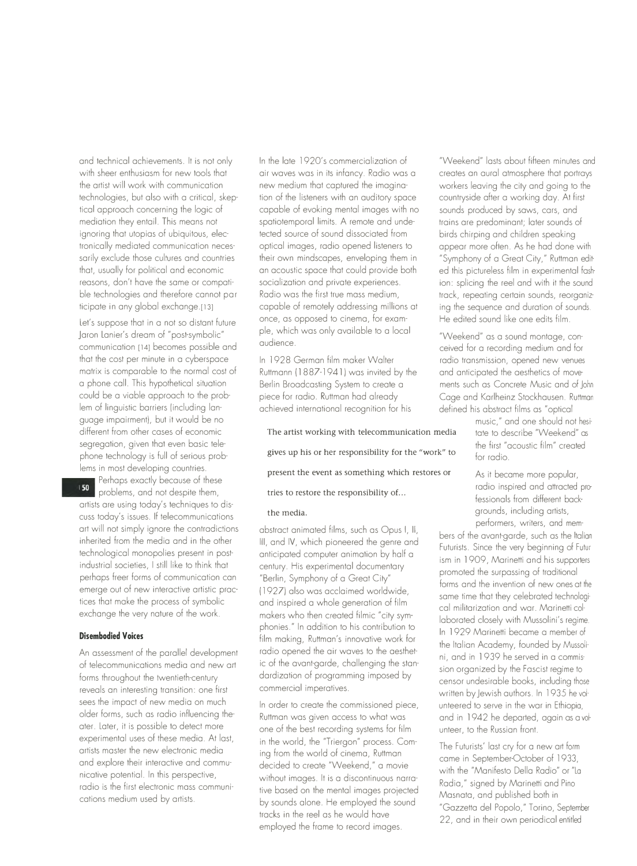and technical achievements. It is not only with sheer enthusiasm for new tools that the artist will work with communication technologies, but also with a critical, skeptical approach concerning the logic of mediation they entail. This means not ignoring that utopias of ubiquitous, electronically mediated communication necessarily exclude those cultures and countries that, usually for political and economic reasons, don't have the same or compatible technologies and therefore cannot participate in any global exchange.[13]

Let's suppose that in a not so distant future Joron Lonier's dream of "post-symbolic" communication [14] becomes possible and that the cost per minute in a cyberspace matrix is comparable to the normal cost of a phone coll. This hypothetical situation could be a viable approach to the problem of linguistic barriers (including language impairment), but it would be no different from other coses of economic segregation, given that even basic telephone technology is full of serious problems in most developing countries.

Perhaps exactly because of these problems, and not despite them, artists ore using today's techniques to discuss today's issues. If telecommunications art will not simply ignore the contradictions inherited from the media and in the other technological monopolies present in postindustrial societies, I still like to think that perhaps freer forms of communication con emerge out of new interactive artistic practices that make the process of symbolic exchange the very nature of the work.

# **Disembodied Voices**

An assessment of the parallel development of telecommunications media and new art forms throughout the twentieth-century reveals on interesting transition: one first sees the impact of new media on much older forms, such as radio influencing theater. Loter, it is possible to detect more experimental uses of these media. At last, artists master the new electronic media and explore their interactive and communicative potential. In this perspective, radio is the first electronic moss communications medium used by artists.

In the late l 920's commercialization of air waves was in its infancy. Radio was a new medium that captured the imagination of the listeners with an auditory space capable of evoking mental images with no spotiotemporal limits. A remote and undetected source of sound dissociated from optical images, radio opened listeners to their own mindscopes, enveloping them in on acoustic space that could provide both socialization and private experiences. Radio was the first true moss medium, capable of remotely addressing millions at once, as opposed to cinema, for example, which was only available to a local audience.

In 1928 Germon film maker Wolter Ruttmonn ( 1887-194 1) was invited by the Berlin Broadcasting System to create a piece for radio. Ruttman hod already achieved international recognition for his

**The artist working with telecommunication media**  gives up his or her responsibility for the "work" to  $\int_{\text{for radio}}$ present the event as something which restores or <br>As it became more popular, tries to restore the responsibility of...

# the media.

abstract animated films, such as Opus I, II, Ill, and IV, which pioneered the genre and anticipated computer animation by half a century. His experimental documentary "Berlin, Symphony of a Great City" ( 1927) also was acclaimed worldwide, and inspired a whole generation of film makers who then created filmic "city symphonies." In addition to his contribution to film making, Ruttman's innovative work for radio opened the air waves to the aesthetic of the avant-garde, challenging the standardization of programming imposed by commercial imperatives.

In order to create the commissioned piece, Ruttman was given access to what was one of the best recording systems for film in the world, the "Triergon" process. Coming from the world of cinema, Ruttman decided to create "Weekend," a movie without images. It is a discontinuous narrative based on the mental images projected by sounds alone. He employed the sound tracks in the reel as he would hove employed the frame to record images.

"Weekend" lasts about fifteen minutes and creates on aural atmosphere that portrays workers leaving the city and going to the countryside ofter a working day. At first sounds produced by saws, cars, and trains ore predominant; later sounds of birds chirping and children speaking appear more often. As he hod done with "Symphony of a Great City," Ruttman edit· ed this pictureless film in experimental fashion: splicing the reel and with it the sound track, repeating certain sounds, reorgoniz· ing the sequence and duration of sounds. He edited sound like one edits film.

"Weekend" as a sound montage, conceived for a recording medium and for radio transmission, opened new venues and anticipated the aesthetics of move· ments such as Concrete Music and of John Cage and Korlheinz Stockhausen. Ruttman defined his abstract films as "optical

> music," and one should not hesi· tate to describe "Weekend" as the first "acoustic film" created

> radio inspired and attracted professionals from different backgrounds, including artists, performers, writers, and mem-

bers of the avant-garde, such as the Italian Futurists. Since the very beginning of Futur· ism in 1909, Marinetti and his supporters promoted the surpassing of traditional forms and the invention of new ones at the same time that they celebrated technological militarization and war. Marinetti collaborated closely with Mussolini's regime. In 1929 Marinetti became a member of the Italian Academy, founded by Mussolini, and in 1939 he served in a commis· sion organized by the Fascist regime to censor undesirable books, including those written by Jewish authors. In 1935 he volunteered to serve in the war in Ethiopia, and in 1942 he departed, again as a volunteer, to the Russian front.

The Futurists' lost cry for a new art form come in September-October of 1933, with the "Manifesto Della Radio" or "La Radia," signed by Marinetti and Pino Mosnoto, and published both in "Gozzetto del Popolo," Torino, September 22, and in their own periodical entitled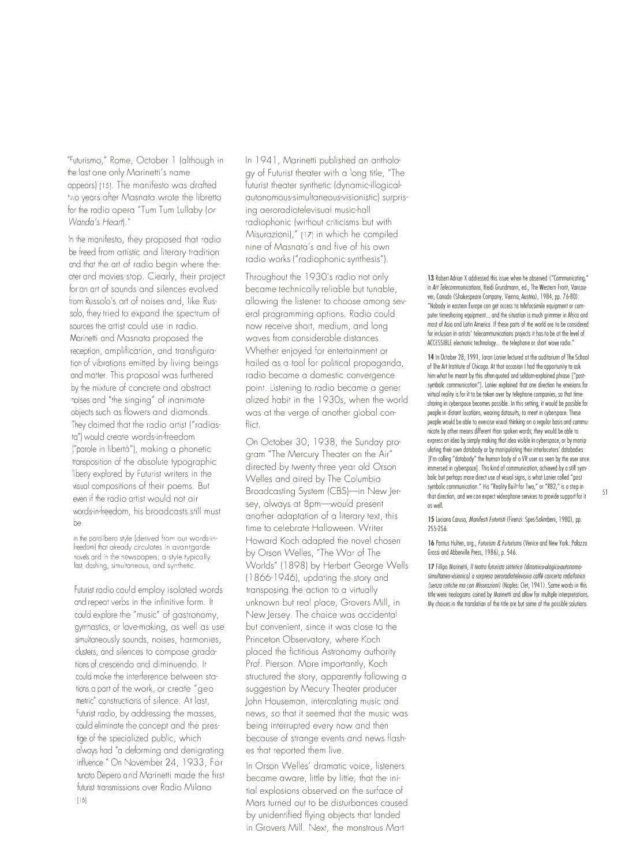"Futurismo," Rome, October l (although in the last one only Marinetti's name appears) [15]. The manifesto was drafted two years after Masnata wrote the libretto for the radio opera "Tum Tum Lullaby (or *Wanda's Heart)."* 

In the manifesto, they proposed that radio be freed from artistic and literary tradition and that the art of radio begin where theater and movies stop. Clearly, their project for an art of sounds and silences evolved from Russolo's art of noises and, like Russolo, they tried to expand the spectrum of sources the artist could use in radio. Marinetti and Masnata proposed the reception, amplification, and transfiguration of vibrations emitted by living beings and matter. This proposal was furthered by the mixture of concrete and abstract noises and "the singing" of inanimate objects such as flowers and diamonds. They claimed that the radio artist ("radiasta") would create words-in-freedom ("parole in liberta"), making a phonetic transposition of the absolute typographic liberty explored by Futurist writers in the visual compositions of their poems. But even if the radio artist would not air words-in-freedom, his broadcasts still must  $he$ 

in the parolibero style (derived from our words-infreedom) that already circulates in avantgarde novels and in the newspapers; a style typically last, dashing, simultaneous, and synthetic.

Futurist radio could employ isolated words and repeat verbs in the infinitive form. It could explore the "music" of gastronomy, gymnastics, or love-making, as well as use simultaneously sounds, noises, harmonies, clusters, and silences to compose gradations of crescendo and diminuendo. It could make the interference between stations a part of the work, or create "geometric" constructions of silence. At last, Futurist radio, by addressing the masses, could eliminate the concept and the prestige of the specialized public, which always had "a deforming and denigrating influence." On November 24, 1933, Fortunato Depero and Marinetti made the first futurist transmissions over Radio Milano \16]

In 1941, Marinetti published an anthology of Futurist theater with a long title, "The futurist theater synthetic (dynamic-illogicalautonomous-simultaneous-visionistic) surprising aeroradiotelevisual music-hall radiophonic (without criticisms but with Misurazioni)," [17] in which he compiled nine of Masnata's and five of his own radio works ("radiophonic synthesis").

Throughout the l 930's radio not only became technically reliable but tunable, allowing the listener to choose among several programming options. Radio could now receive short, medium, and long waves from considerable distances. Whether enjoyed for entertainment or hailed as a tool for political propaganda, radio became a domestic convergence point. Listening to radio became a gener alized habit in the 1930s, when the world was at the verge of another global conflict.

On October 30, 1938, the Sunday program "The Mercury Theater on the Air" directed by twenty three year old Orson Welles and aired by The Columbia Broadcasting System (CBS)-in New Jersey, always at 8pm-would present another adaptation of a literary text, this time to celebrate Halloween. Writer Howard Koch adapted the novel chosen by Orson Welles, "The War of The Worlds" ( l 898) by Herbert George Wells ( 1866-1946), updating the story and transposing the action to a virtually unknown but real place, Grovers Mill, in New Jersey. The choice was accidental but convenient, since it was close to the Princeton Observatory, where Koch placed the fictitious Astronomy authority Prof. Pierson. More importantly, Koch structured the story, apparently following a suggestion by Mecury Theater producer John Houseman, intercalating music and news, so that it seemed that the music was being interrupted every now and then because of strange events and news flashes that reported them live.

In Orson Welles' dramatic voice, listeners became aware, little by little, that the initial explosions observed on the surface of Mars turned out to be disturbances caused by unidentified flying objects that landed in Grovers Mill. Next, the monstrous Mart

13 Robert Adrian X addressed this issue when he observed ("Communicating") in Art Telecommunications, Heidi Grundmann, ed., The Western Front, Vancouver, Canado (Shakespeare Company, Vienna, Austria), 1984, pp. 7 6-80): "Nobody in eastern Europe con get occess to telefacsimile equipment or computer timesharing equipment... and the situation is much grimmer in Africa and most of Asia and Latin America. If these parts of the world ore to be considered for inclusion in artists' telecommunications projects it has to be at the level of ACCESSIBLE electronic technology ... the telephone or short wove radio."

14 In October 28, 1991, Jaron Lonier lectured ot the auditorium of The School of The Art Institute of Chicago. At thot occasion I hod the opportunity to ask him whot he meant by this often-quoted ond seldom-explained phrase ["post· symbolic communicotion"J. Lanier explained that one direction he envisions for virtual reality is for it to be token over by telephone companies, so thot timesharing in cyberspace becomes possible. In this setting, it would be possible for people in distant locations, wearing datasuits, to meet in cyberspace. These people would be able to exercise visual thinking on a regular basis ond communicote by other meons different thon spoken words; they would be oble to express on idea by simply making thot ideo visible in cyberspace, or by monipuloting their own dotobody or by monipuloting their interlocutors' dotobodies [I'm colling "dotobody" the human body of o VR user os seen by the user once immersed in cyberspace]. This kind of communication, achieved by o still sym· bolic but perhaps more direct use of visuol signs, is what Lanier coiled "post· symbolic communication." His "Reality Built for Two," or "RB2," is o step in that direction, and we con expect videophone services to provide support for it os welL

15 Luciano Caruso, Manifesti Futuristi (Firenzi: Spes-Solimbeni, 1980), pp. 25s.256.

16 Pontus Hulten, org., *Futurism* & *Futurisms* (Venice and New York: Palazzo Grossi and Abberville Press, 1986), p. 546.

17 Fillipo Morinetti, *Il teatro futurista sintetico (dinomico-alogico-autonomosimultaneo-visionico) a sorpresa aeroradiatelevisiva caffe cancerta radiafanico (senza criffche ma con Misurazioni)* (Naples: (let, 1941). Some words in this tirie were neologisms coined by Marinetti and allow for multiple interpretations. My choices in the translation of the tirie are but some of the possible solutions.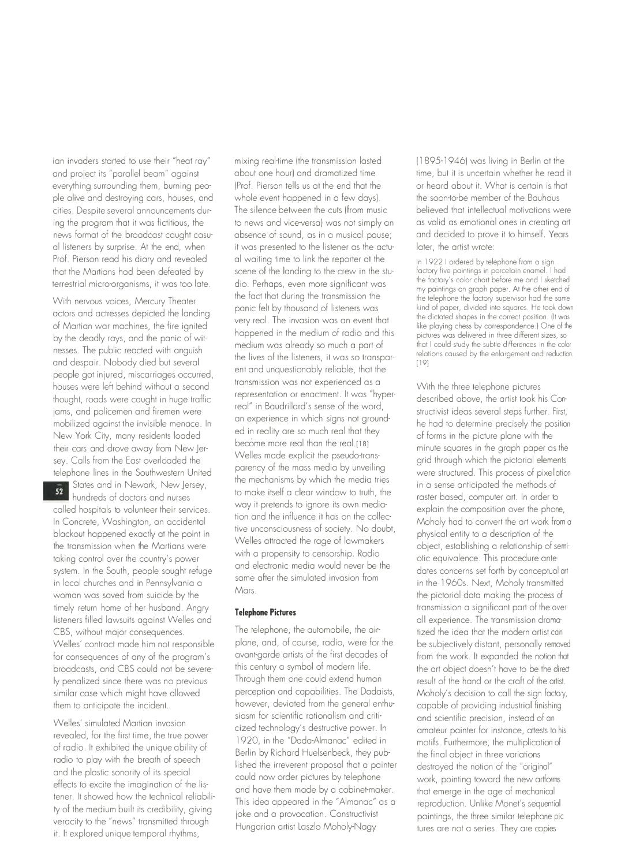ian invaders started to use their "heat ray" mixing real-time (the transmission lasted (1895-1946) was living in Berlin at the and project its "parallel beam" against about one hour) and dramatized time time, but it is uncertain whether he read it<br>everything surrounding them burning peo- (Prof. Pierson tells us at the end that the or heard about i everything surrounding them, burning peo- (Prof. Pierson tells us at the end that the orcheard about it. What is certain is the solution of the Bauhaus or heard about it. What is certain is the solution of the Bauhaus of t ple alive and destroying cars, houses, and whole event happened in a few days). cities. Despite several announcements dur- The silence between the cuts (from music believed that intellectual motivations were ing the program that it was fictitious, the to news and vice-versa) was not simply an as valid as emotional ones in creating art<br>news format of the broadcast caught casu-absence of sound, as in a musical pause; and decided news format of the broadcast caught casu-<br>absence of sound, as in a musical pause; al listeners by surprise. At the end, when it was presented to the listener as the actu- later, the artist wrote: Prof. Pierson read his diary and revealed al waiting time to link the reporter at the In 1922 I ordered by telephone from a sign<br>In 1922 I ordered by telephone from a signal that the Indiana to the crew in the stu-factory that the Martians had been defeated by scene of the landing to the crew in the stu-<br>torrestrial micro-organisms, it was too late and the Perbans over more significant was the factory's color chart before me and I sketched terrestrial micro-organisms, it was too late. dio. Perhaps, even more significant was

view actors and actresses depicted the landing panic felt by thousand of listeners was kind of paper, divided into squares. He took down<br>actors and actresses depicted the landing panic felt by thousand of listeners was the of Martian war machines, the fire ignited very real. The invasion was an event that like playing chess by correspondence.) One of the medium of radio and this like playing chess by correspondence.) One of the medium of rad by the deadly rays, and the panic of wit-<br>medium was already so much a part of that I could study the subtle differences in the color<br>nection was already so much a part of that I could study the subtle differences in the c nesses. The public reacted with anguish medium was already so much a part of the line of the subtle differences in the color<br>The subsequent is the line of the line of the line of the subsequent of the differences in the co and despair. Nobody died but several people got iniured, miscarriages occurred, houses were left behind without a second transmission was not experienced as a With the three telephone pictures<br>through the second the three telephone pictures that the three telephone pictures thought, roads were caught in huge traffic representation or enactment. It was "hyper- described above, the artist took his Coniams, and policemen and firemen were mobilized against the invisible menace. In an experience in which signs not ground-<br>New York City, accuracy ideal and a local development of the position of faces is the picture algoes with the New York City, many residents loaded <sup>ed in</sup> reality are so much real that they of forms in the picture plane with the<br>their cars and drove away from New Iersey. Calls from the East overloaded the <sup>Welles</sup> made explicit the pseudo-trans- grid through which the pictorial elements<br>telephone lines in the Southwestern United parency of the mass media by unveiling were structured.

 $52$ hundreds of doctors and nurses called hospitals to volunteer their services. way it pretends to ignore its own media-<br>Let us a service is the phone, the phone of the influence it has on the collection of the later than the later In Concrete, Washington, an accidental lion and the influence it has on the collec- Moholy had to convert the art work from a<br>Hashard because and work the society is the inconsciousness of society. No doubt, a sharing a di blackout happened exactly at the point in tive unconsciousness of society. No doubt, physical entity to a description of the the transmission when the Martians were taking control over the country's power taking control over the country's power with a propensity to censorship. Radio<br>system. In the South, people sought refuge and electronic media would never be the dates concerns set forth by conceptual art in local churches and in Pennsylvania a same<br>woman was saved from suicide by the Mars. timely return home of her husband. Angry **Telephone Pictures transmission a significant part of the over-**<br>Itsteners filled lawsuits against Welles and **Telephone Pictures the contract of the over-**-------------------listeners filled lawsuits against Welles and<br>CBS, without maior consequences. The telephone, the automobile, the air-all experience. The transmission drama-<br>CBS, without maior consequences. CBS, without major consequences. The telephone, the automobile, the air- tized the idea that the modern artist can<br>Welles' contract made him not responsible plane, and, of course, radio, were for the be subjectively distan Welles' contract made him not responsible plane, and, of course, radio, were for the be subsequences of any of the program's avant-garde artists of the first decades of broadcasts, and CBS could not be severe- this century a symbol of modern life. The art object doesn't have to be the direction<br>Introverse the artist of the artist. Through them one could extend human the result of the hand ly penalized since there was no previous Through them one could extend human<br>similar case which might have allowed perception and capabilities. The Dadaists,

Welles' simulated Martian invasion ty of the medium built its credibility, giving veracity to the "news" transmitted through individual polynomic constructivist paintings, the three similar telephone pic<br>it the surface with the similar telephone pic through through three similar telephone pic three simi it. It explored unique temporal rhythms,

With nervous voices, Mercury Theater the fact that during the transmission the the telephone the factory supervisor had the same<br>panic felt by thousand of listeners was kind of paper, divided into squares. He took down very real. The invasion was an event that the dictated shapes in the correct position. (It was<br>like playing chess by correspondence.) One of the the lives of the listeners, it was so transparent and unquestionably reliable, that the real" in Baudrillard's sense of the word,<br>The structivist ideas several steps further. First,<br>the president steps further assistant the president state of the series of the president the more real than the real [18] minute squares in the graph paper as the Welles made explicit the pseudo-transtelephone lines in the Southwestern United parency of the mass media by unveiling<br>The mechanisms by which the media tries States and in Newark, New Jersey, the mechanisms by which the media tries in a sense anticipated the methods of the methods of the methods of the methods of the methods of the methods of the methods of the methods of the m to make itself a clear window to truth, the raster based, computer art. In order to way it pretends to ignore its own media-Welles attracted the rage of lawmakers obiect, establishing a relationship of semisame after the simulated invasion from

avant-garde artists of the first decades of from the work. It expanded the notion that this century a symbol of modern life. perception and capabilities. The Dadaists, Moholy's decision to call the sign factory,<br>however, deviated from the general enthu-capable of providing industrial finishing them to anticipate the incident. however, deviated from the general enthu-capable of providing industrial finishing<br>siasm for scientific rationalism and criti-capable of providing instead of an siasm for scientific rationalism and criti- and scientific precision, instead of an<br>cized technology's destructive power. In an amateur painter for instance attests to revealed, for the first time, the true power cized technology's destructive power. In amateur painter for instance, attests to his revealed, for the first time, the true power 1920, in the "Dada-Almanac" edited in motifs. of radio. It exhibited the unique ability of 1920, in the "Dada-Almanac" edited in motifs. Furthermore, the multiplication of the final object in three variations radio to play with the breath of speech<br>Ished the irreverent proposal that a painter destroyed the notion of the "original" and the plastic sonority of its special listing the interverent proposal that a painter a perspect the notion of the original could now order pictures by telephone work, pointing toward the new artforms effects to excite the imagination of the lis-<br>and have them made by a cabinet-maker. That emerge in the age of mechanical tener. It showed how the technical reliabili- and have them made by a cabinet-maker. that emerge in the age of mechanical This idea appeared in the "Almanac" as a<br>joke and a provocation. Constructivist

my paintings on graph paper. At the other end of

in the 1960s. Next, Moholy transmitted the pictorial data making the process of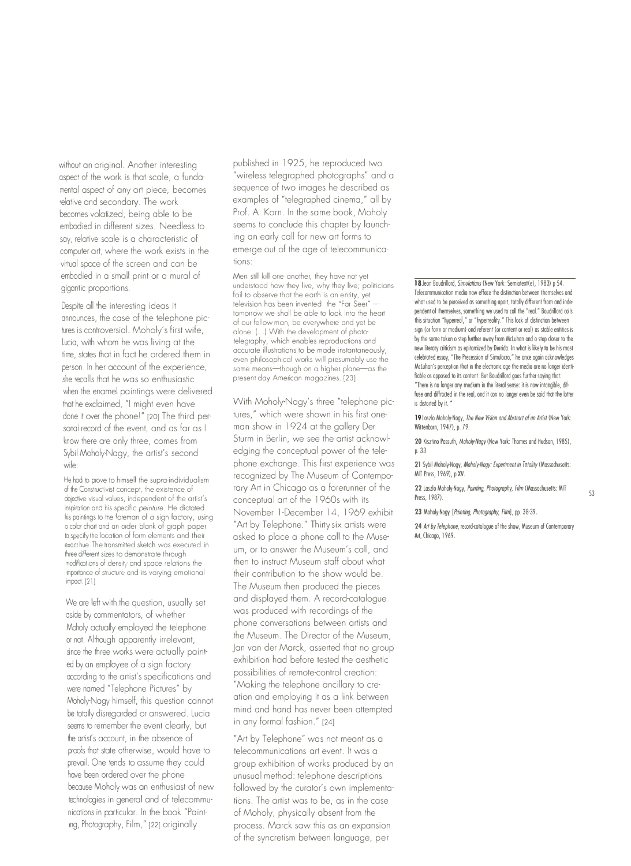without an original. Another interesting aspect of the work is that scale, a fundamental aspect of any art piece, becomes relative and secondary. The work becomes volatized, being able to be embodied in different sizes. Needless to say, relative scale is a characteristic of computer art, where the work exists in the virtual space of the screen and can be embodied in a small print or a mural of gigantic proportions.

Despite all the interesting ideas it announces, the case of the telephone pictures is controversial. Moholy's first wile, lucia, with whom he was living at the time, states that in fact he ordered them in person. In her account of the experience, she recalls that he was so enthusiastic when the enamel paintings were delivered that he exclaimed, "I might even have done it over the phone!" [20] The third personal record of the event, and as far as I know there are only three, comes from Sybil Moholy-Nagy, the artist's second wile:

He hod to prove to himself the supra-individualism of the Constructivist concept, the existence of objective visual values, independent of the artist's inspiralion and his specific *peinture.* He dictated his paintings to the foreman of a sign factory, using a color chart and an order blank of graph paper to specify the location of form elements and their exact hue. The transmitted sketch was executed in three different sizes to demonstrate through modifications of density and space relations the importance of structure and its varying emotional impact. [21]

We are left with the question, usually set aside by commentators, of whether Moholy actually employed the telephone or not. Although apparently irrelevant, since the three works were actually painted by an employee of a sign factory according to the artist's specifications and were named "Telephone Pictures" by Moholy-Nagy himself, this question cannot be totally disregarded or answered. lucia seems to remember the event clearly, but the artist's account, in the absence of proofs that state otherwise, would have to prevail. One tends to assume they could have been ordered over the phone because Moholy was an enthusiast of new technologies in general and of telecommunications in particular. In the book "Painting, Photography, Film," [22] originally

published in 1925, he reproduced two "wireless telegraphed photographs" and a sequence of two images he described as examples of "telegraphed cinema," all by Prof. A. Korn. In the same book, Moholy seems to conclude this chapter by launching an early call for new art forms to emerge out of the age of telecommunications:

Men still kill one another, they have not yet understood how they live, why they live; politicians fail to observe that the earth is an entity, yet television has been invented: the "Far Seer" lomorrow we shall be able to look into the heart of our fellow man, be everywhere and yet be alone. (...) With the development of photolelegraphy, which enables reproductions and accurale illuslrations to be made instantaneously, even philosophical works will presumably use the<br>same means—thouah on a hiaher plane—as the same means-though on a higher planepresent day American magazines. [23]

With Moholy-Nagy's three "telephone pictures," which were shown in his first oneman show in 1924 at the gallery Der Sturm in Berlin, we see the artist acknowledging the conceptual power of the telephone exchange. This first experience was recognized by The Museum of Contemporary Art in Chicago as a forerunner of the conceptual art of the 1960s with its November 1-December 14, 1969 exhibit "Art by Telephone." Thirty six artists were asked to place a phone call to the Museum, or to answer the Museum's call, and then to instruct Museum staff about what their contribution to the show would be. The Museum then produced the pieces and displayed them. A record-catalogue was produced with recordings of the phone conversations between artists and the Museum. The Director of the Museum, Jan van der Morck, asserted that no group exhibition had before tested the aesthetic possibilities of remote-control creation: "Making the telephone ancillary to creation and employing it as a link between mind and hand has never been attempted in any formal fashion." [24]

"Art by Telephone" was not meant as a telecommunications art event. It was a group exhibition of works produced by an unusual method: telephone descriptions followed by the curator's own implementations. The artist was to be, as in the case of Moholy, physically absent from the process. Morck saw this as an expansion of the syncretism between language, perIS Jeon Boudrillord, *Simulaffans* (New York: Semiotext(e), 1983) p 54. Telecommunication media now efface the distinction between themselves ond what used to be perceived as something apart, totally different from and independent of themselves, something we used to coll the "real." Boudrillord coils this situation "hyperreol," or "hyperreolity." This lock of distinction between sign (or form or medium) ond referent (or content or real) as stable entities is by the some token o step further away from McLuhan ond o step closer to the new literary criticism as epitomized by Derrida. In what is likely to be his most celebrated essay, "The Precession of Simulocro," he once ogoin acknowledges McLuhan's perception that in the electronic age the media ore no longer identifiable os opposed to its content. But Boudrillord goes further saying that: "There is no longer any medium in the literal sense: it is now intangible, drrfuse and diffracted in the real, ond it con no longer even be said thot the lotter is distorted by it.  $"$ 

19 Loszlo Moholy-Nogy, *The New Vision and Abstract al an Artist* (New York: Wittenborn, 1947), p. 79.

**20** Kisztino Passuth, *Moholy-Nagy* (New York: Thomes and Hudson, 1985), p. 33.

21 Sybil Moholy-Nogy, *Mahaly-Nagy: Experlment in Totality* (Massachusetts: MIT Press, 1969), p XV.

**22** Laszlo Moholy-Nogy, *Painffng, Photography, Film* (Massachusetts: MIT Press, 1987).

**23** Moholy-Nogy *[Painffng, Photography, Film],* pp. 38-39.

24 Art by Telephone, record-cotologue of the show, Museum of Contemporary Art, Chicago, 1969.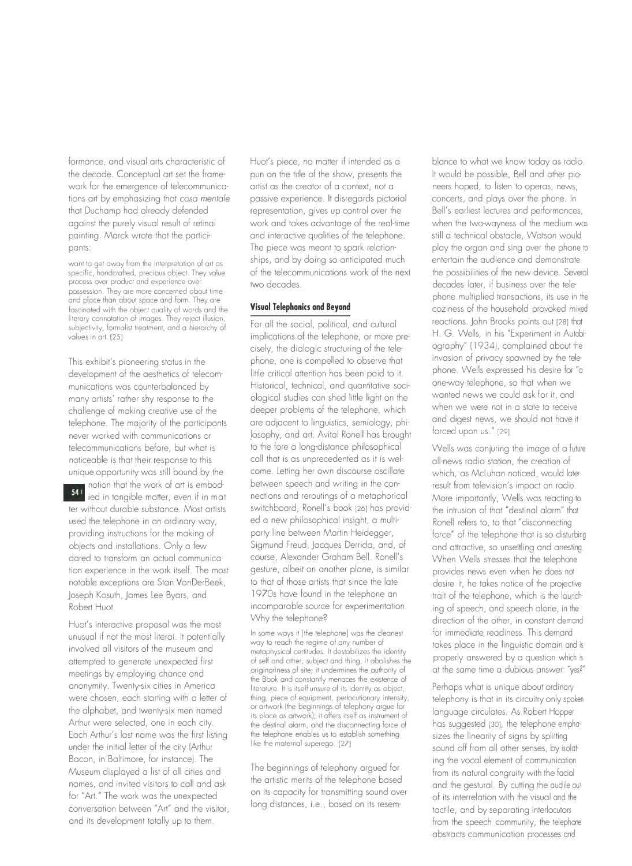formance, and visual arts characteristic of the decade. Conceptual art set the framework for the emergence of telecommunications art by emphasizing that *cosa mentale*  that Duchamp had already defended against the purely visual result of retinal painting. Marek wrote that the participants:

want ta get away from the interpretation of art as specific, handcrafted, precious object. They value process over product and experience over possession. They are more concerned about time and place than about space and form. They are fascinated with the object quality of words and the literary connotation of images. They reject illusion, subjectivity, formalist treatment, and a hierarchy of values in art. [25]

This exhibit's pioneering status in the development of the aesthetics of telecommunications was counterbalanced by many artists' rather shy response to the challenge of making creative use of the telephone. The majority of the participants never worked with communications or telecommunications before, but what is noticeable is that their response to this unique opportunity was still bound by the notion that the work of art is embod-

 $54<sub>1</sub>$ ied in tangible matter, even if in matter without durable substance. Most artists used the telephone in an ordinary way, providing instructions for the making of objects and installations. Only a few dared to transform an actual communication experience in the work itself. The most notable exceptions are Stan VanDerBeek, Joseph Kosuth, James Lee Byars, and Robert Huot.

Huot's interactive proposal was the most unusual if not the most literal. It potentially involved all visitors of the museum and attempted to generate unexpected first meetings by employing chance and anonymity. Twenty-six cities in America were chosen, each starting with a letter of the alphabet, and twenty-six men named Arthur were selected, one in each city. Each Arthur's last name was the first listing under the initial letter of the city (Arthur Bacon, in Baltimore, for instance). The Museum displayed a list of all cities and names, and invited visitors to call and ask for "Art." The work was the unexpected conversation between "Art" and the visitor, and its development totally up to them.

Huot's piece, no matter if intended as a pun on the title of the show, presents the artist as the creator of a context, not a passive experience. It disregards pictorial representation, gives up control over the work and takes advantage of the real-time and interactive qualities of the telephone. The piece was meant to spark relationships, and by doing so anticipated much of the telecommunications work of the next two decades.

# **Visual Telephonics and Beyand**

For all the social, political, and cultural implications of the telephone, or more precisely, the dialogic structuring of the telephone, one is compelled to observe that little critical attention has been paid to it. Historical, technical, and quantitative sociological studies can shed little light on the deeper problems of the telephone, which are adjacent to linguistics, semiology, phijosophy, and art. Avital Ronell has brought to the fore a long-distance philosophical call that is as unprecedented as it is welcome. Letting her own discourse oscillate between speech and writing in the connections and reroutings of a metaphorical switchboard, Ronell's book [26] has provided a new philosophical insight, a multiparty line between Martin Heidegger, Sigmund Freud, Jacques Derrida, and, of course, Alexander Graham Bell. Ronell's gesture, albeit on another plane, is similar to that of those artists that since the late 1970s have found in the telephone an incomparable source for experimentation. Why the telephone?

In some ways it [the telephone] was the cleanest way to reach the regime of any number of metaphysical certitudes. It destabilizes the identity of self and other, subject and thing, it abolishes the originariness of site; it undermines the authority of the Book and constantly menaces the existence of literature. It is itself unsure of its identity as object, thing, piece of equipment, perlocutionary intensity, or artwork (the beginnings of telephony argue for its place as artwork); it offers itself as instrument of the destinal alarm, and the disconnecting force of the telephone enables us to establish something like the maternal superego. (27]

The beginnings of telephony argued for the artistic merits of the telephone based on its capacity for transmitting sound over long distances, i.e., based on its resem-

blance to what we know today as radio. It would be possible, Bell and other pioneers hoped, to listen to operas, news, concerts, and plays over the phone. In Bell's earliest lectures and performances, when the two-woyness of the medium was still a technical obstacle, Watson would play the organ and sing over the phone to entertain the audience and demonstrate the possibilities of the new device. Several decades later, if business over the telephone multiplied transactions, its use in the coziness of the household provoked mixed reactions. John Brooks points out [28] that H. G. Wells, in his "Experiment in Autobi· ography" ( 1934), complained about the invasion of privacy spawned by the telephone. Wells expressed his desire for "a one-way telephone, so that when we wanted news we could ask for it, and when we were not in a state to receive and digest news, we should not have it forced upon us." (29]

Wells was conjuring the image of a future all-news radio station, the creation of which, as McLuhan noticed, would later result from television's impact on radio. More importantly, Wells was reacting to the intrusion of that "destinal alarm" that Ronell refers to, to that "disconnecting force" of the telephone that is so disturbing and attractive, so unsettling and arresting. When Wells stresses that the telephone provides news even when he does not desire it, he takes notice of the projective trait of the telephone, which is the launch· ing of speech, and speech alone, in the direction of the other, in constant demand for immediate readiness. This demand takes place in the linguistic domain and is properly answered by a question which is at the same time a dubious answer: "yes?'

Perhaps what is unique about ordinary telephony is that in its circuitry only spoken language circulates. As Robert Hopper has suggested (301, the telephone empho· sizes the linearity of signs by splitting sound off from all other senses, by isolot· ing the vocal element of communication from its natural congruity with the facial and the gestural. By cutting the audile out of its interrelation with the visual and the tactile, and by separating interlocutors from the speech community, the telephone abstracts communication processes and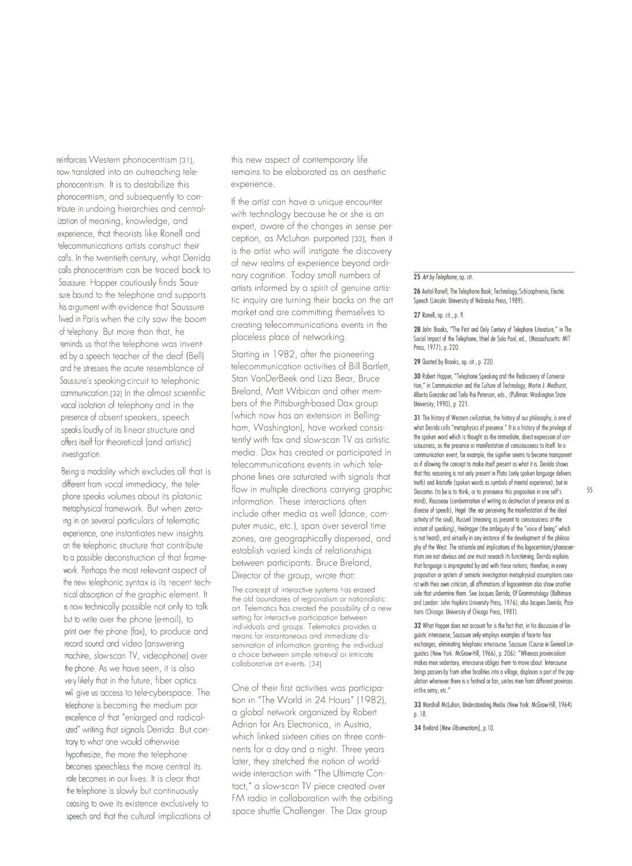reinforces Western phonocentrism [31], now translated into an outreaching telephonocentrism. It is to destabilize this phonocentrism, and subsequently to conlribute in undoing hierarchies and centralization of meaning, knowledge, and experience, that theorists like Ronell and telecommunications artists construct their calls. In the twentieth century, what Derrida calls phonocentrism can be traced back to Saussure. Hopper cautiously finds Saussure bound to the telephone and supports his argument with evidence that Saussure lived in Paris when the city saw the boom of telephony. But more than that, he reminds us that the telephone was invented by a speech teacher of the deaf (Bell) and he stresses the acute resemblance of Saussure's speaking-circuit to telephonic communication.[32] In the almost scientific vocal isolation of telephony and in the presence of absent speakers, speech speaks loudly of its linear structure and offers itself for theoretical (and artistic) investigation.

Being a modality which excludes all that is different from vocal immediacy, the telephone speaks volumes about its platonic metaphysical framework. But when zeroing in on several particulars of telematic experience, one instantiates new insights on the telephonic structure that contribute lo a possible deconstruction of that framework. Perhaps the most relevant aspect of the new telephonic syntax is its recent technical absorption of the graphic element. It 1s now technically possible not only to talk but lo write over the phone (e-mail), to print over the phone (fax), to produce and record sound and video (answering machine, slow-scan TY, videophone) over the phone. As we have seen, it is also very likely that in the future, fiber optics wil give us access to tele-cyberspace. The lelephone is becoming the medium par excellence of that "enlarged and radicalized' writing that signals Derrida. But conlrary to what one would otherwise hypothesize, the more the telephone becomes speechless the more central its role becomes in our lives. It is clear that the telephone is slowly but continuously ceasing to owe its existence exclusively to speech and that the cultural implications of

this new aspect of contemporary life remains to be elaborated as an aesthetic experience.

If the artist can have a unique encounter with technology because he or she is an expert, aware of the changes in sense perception, as McLuhan purported [33], then it is the artist who will instigate the discovery of new realms of experience beyond ordinary cognition. Today small numbers of artists informed by a spirit of genuine artistic inquiry are turning their backs on the art market and are committing themselves to creating telecommunications events in the placeless place of networking.

Starting in 1982, after the pioneering telecommunication activities of Bill Bartlett, Stan VanDerBeek and Liza Bear, Bruce Breland, Matt Wrbican and other members of the Pittsburgh-based Dax group (which now has an extension in Bellingham, Washington), have worked consistently with fax and slow-scan TV as artistic media. Dax has created or participated in telecommunications events in which telephone lines are saturated with signals that flow in multiple directions carrying graphic information. These interactions often include other media as well (dance, computer music, etc.), span over several time zones, are geographically dispersed, and establish varied kinds of relationships between participants. Bruce Breland, Director of the group, wrote that:

The concept of interoctive systems hos erosed the old boundories of regionolism or notionolistic ort. Telemotics hos creoted the possibility of o new setting for interoctive porticipotion between individuals and groups. Telematics provides a meons for instontoneous ond immediote disseminotion of informotion gronting the individuol a choice between simple retrieval or intricate collaborative art events. [34]

One of their first activities was participation in "The World in 24 Hours" ( 1982), a global network organized by Robert Adrian for Ars Electronica, in Austria, which linked sixteen cities on three continents for a day and a night. Three years later, they stretched the notion of worldwide interaction with "The Ultimate Contact," a slow-scan TV piece created over FM radio in collaboration with the orbiting space shuttle Challenger. The Dax group

### **25** *Al1 by Telephone,* op. cit.

**26** Avitol Ronell, The Telephone Book; Technology, Schizophrenia, Electric Speech (Lincoln: University of Nebraska Press, 1989).

## **27** Ranell, op. cit., p. 9.

28 John Brooks, "The First ond Only Century of Telephone Literature," in The Social Impact of the Telephone, lthiel de Solo Pool, ed., (Massachusetts: MIT Press, 1977), p. 220.

**29** Quoted by Brooks, op. cit., p. 220.

**30** Robert Hopper, "Telephone Speaking and the Rediscovery of Conversotion," in Communication and the Culture of Technology, Mortin J. Medhurst, Alberto Gonzolez and Torlo Roi Peterson, eds., (Pullman: Washington State University, 1990), p. 221.

31 The history of Western civilization, the history of our philosophy, is one of what Derrida colls "metaphysics of presence." It is o history of the privilege of the spoken word which is thought as the immediate, direct expression of consciousness, as the presence or manifestation of consciousness to itself. In o communication event, for example, the signifier seems to become transparent as if allowing the concept to make itself present os what it is. Derrida shows that this reasoning is not only present in Plato (only spoken language delivers truth) and Aristotle (spoken words as symbols of mental experience), but in Descartes (to be is to think, or to pronounce this proposition in one self's 55 mind), Rousseau (condemnation of writing as destruction of presence and as disease of speech), Hegel (the ear perceiving the manifestation of the ideol activity of the soul), Husserl (meaning as present to consciousness at the instant of speaking), Heidegger (the ambiguity of the "voice of being" which is not heard), and virtually in any instance of the development of the philosophy of the West. The rationale and implications of this logocentrism/phonocentrism ore not obvious and one must research its functioning. Derrida explains that language is impregnated by and with these notions; therefore, in every proposition or *system* of semiotic investigation metaphysical assumptions coex· ist with their own criticism, all affirmations of logocentrism also show another side that undermine them. See Jocques Derrida, Of Grammotology (Baltimore and London: John Hopkins University Press, 1976); also Jacques Derrido, Positions (Chicago: University of Chicago Press, 1981).

**32** What Hopper does not account for is the fact that, in his discussion of linguistic intercourse, Saussure only employs examples of face-to- face exchanges, eliminating telephonic intercourse. Saussure (Course in General Linguistics (New York: McGraw-Hill, 1966), p. 206): "Whereas provinciolism makes men sedentary, intercourse obliges them to move about. Intercourse brings passers-by from other localities into o village, displaces o port of the population whenever there is o festival or fair, unites men from different provinces inthe ormy, etc."

**33** Morsholl McLuhan, Understanding Media (New York: McGraw-Hill, 1964) p. 18.

**34** Breland *[NewObservaffons],* p.10.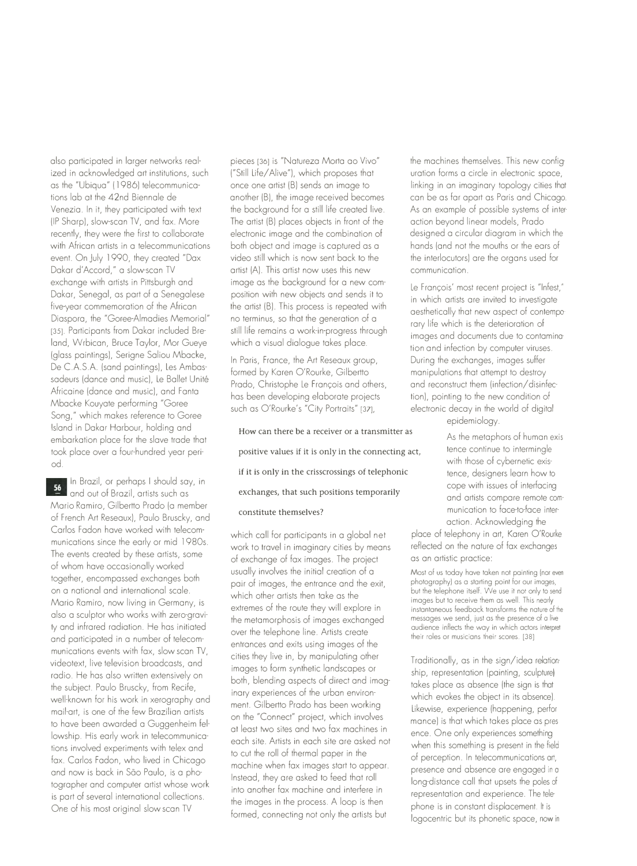also participated in larger networks realized in acknowledged art institutions, such as the "Ubiqua" ( 1986) telecommunications lab at the 42nd Biennale de Venezia. In it, they participated with text (IP Sharp), slow-scan TV, and fax. More recently, they were the first to collaborate with African artists in a telecommunications event. On July 1990, they created "Dax Dakar d'Accord," a slow-scan TV exchange with artists in Pittsburgh and Dakar, Senegal, as part of a Senegalese five-year commemoration of the African Diaspora, the "Goree-Almadies Memorial" [35]. Participants from Dakar included Breland, Wrbican, Bruce Taylor, Mor Gueye (glass paintings), Serigne Saliou Mbacke, De C.A.S.A. (sand paintings), Les Ambassadeurs (dance and music), Le Ballet Unité Africaine (dance and music), and Fanta Mbacke Kouyate performing "Goree Song," which makes reference to Goree Island in Dakar Harbour, holding and embarkation place for the slave trade that took place over a four-hundred year period.

In Brazil, or perhaps I should say, in 56 and out of Brazil, artists such as Mario Ramiro, Gilbertto Prado (a member of French Art Reseaux), Paulo Bruscky, and Carlos Fadon have worked with telecommunications since the early or mid 1980s. The events created by these artists, some of whom have occasionally worked together, encompassed exchanges both on a national and international scale. Mario Ramiro, now living in Germany, is also a sculptor who works with zero-gravity and infrared radiation. He has initiated and participated in a number of telecommunications events with fax, slow scan TV, videotext, live television broadcasts, and radio. He has also written extensively on the subject. Paulo Bruscky, from Recife, well-known for his work in xerography and mail-art, is one of the few Brazilian artists to have been awarded a Guggenheim fellowship. His early work in telecommunications involved experiments with telex and fax. Carlos Fadon, who lived in Chicago and now is back in Sao Paulo, is a photographer and computer artist whose work is part of several international collections. One of his most original slow scan TV

pieces [36] is "Natureza Morta ao Vivo" ("Still Life/ Alive"), which proposes that once one artist (B) sends an image to another (BJ, the image received becomes the background for a still life created live. The artist (B) places objects in front of the electronic image and the combination of both object and image is captured as a video still which is now sent back to the artist (A). This artist now uses this new image as the background for a new composition with new objects and sends it to the artist (B). This process is repeated with no terminus, so that the generation of a still life remains a work-in-progress through which a visual dialogue takes place.

In Paris, France, the Art Reseaux group, formed by Karen O'Rourke, Gilbertto Prado, Christophe Le François and others, has been developing elaborate projects such as O'Rourke's "City Portraits" [37],

How can there be a receiver or a transmitter as  $\overrightarrow{A}$ s the metaphors of human exispositive values if it is only in the connecting act, if it is only in the crisscrossings of telephonic exchanges, that such positions temporarily constitute themselves?

which call for participants in a global network to travel in imaginary cities by means of exchange of fax images. The project usually involves the initial creation of a pair of images, the entrance and the exit, which other artists then take as the extremes of the route they will explore in the metamorphosis of images exchanged over the telephone line. Artists create entrances and exits using images of the cities they live in, by manipulating other images to form synthetic landscapes or both, blending aspects of direct and imaginary experiences of the urban environment. Gilbertto Prado has been working on the "Connect" project, which involves at least two sites and two fax machines in each site. Artists in each site are asked not to cut the roll of thermal paper in the machine when fax images start to appear. Instead, they are asked to feed that roll into another fax machine and interfere in the images in the process. A loop is then formed, connecting not only the artists but

the machines themselves. This new configuration forms a circle in electronic space, linking in an imaginary topology cities that can be as far apart as Paris and Chicago. As an example of possible systems of interaction beyond linear models, Prado designed a circular diagram in which the hands (and not the mouths or the ears of the interlocutors) are the organs used for communication.

Le François' most recent project is "Infest," in which artists are invited to investigate aesthetically that new aspect of contemporary life which is the deterioration of images and documents due to contamination and infection by computer viruses. During the exchanges, images suffer manipulations that attempt to destroy and reconstruct them (infection/ disinfection), pointing to the new condition of electronic decay in the world of digital epidemiology.

> tence continue to intermingle with those of cybernetic existence, designers learn how to cope with issues of interfacing and artists compare remote communication to face-to-face interaction. Acknowledging the

place of telephony in art, Karen O'Rourke reflected on the nature of fax exchanges as an artistic practice:

Most of us today hove token not pointing (nor even photography) as a starting point for our images, but the telephone itself. We use it not only to send images but to receive them as well. This nearly instantaneous feedback transforms the nature of the messages we send, iust as the presence of a live audience inflects the way in which actors interpret their roles or musicians their scores. [38]

Traditionally, as in the sign/idea relationship, representation (painting, sculpture) takes place as absence (the sign is that which evokes the object in its absence). Likewise, experience (happening, performance) is that which takes place as presence. One only experiences something when this something is present in the field of perception. In telecommunications art, presence and absence are engaged in a long-distance call that upsets the poles of representation and experience. The telephone is in constant displacement. It is logocentric but its phonetic space, now in